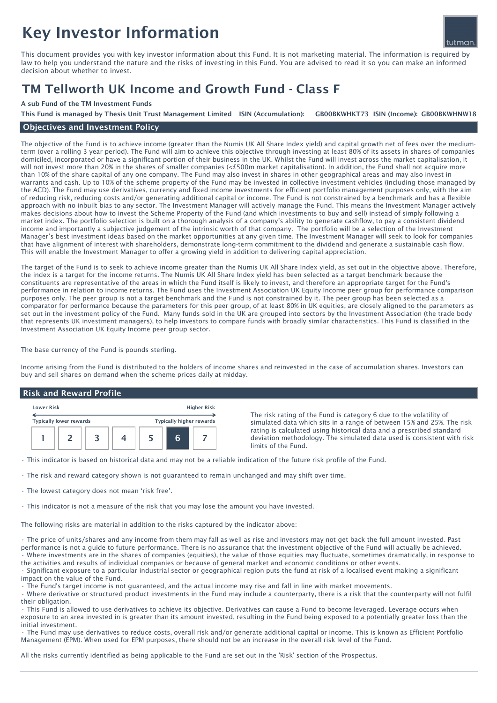# Key Investor Information



This document provides you with key investor information about this Fund. It is not marketing material. The information is required by law to help you understand the nature and the risks of investing in this Fund. You are advised to read it so you can make an informed decision about whether to invest.

## TM Tellworth UK Income and Growth Fund - Class F

#### A sub Fund of the TM Investment Funds

GB00BKWHKT73 ISIN (Income): GB00BKWHNW18 This Fund is managed by Thesis Unit Trust Management Limited ISIN (Accumulation):

#### Objectives and Investment Policy

The objective of the Fund is to achieve income (greater than the Numis UK All Share Index yield) and capital growth net of fees over the mediumterm (over a rolling 3 year period). The Fund will aim to achieve this objective through investing at least 80% of its assets in shares of companies domiciled, incorporated or have a significant portion of their business in the UK. Whilst the Fund will invest across the market capitalisation, it will not invest more than 20% in the shares of smaller companies (<£500m market capitalisation). In addition, the Fund shall not acquire more than 10% of the share capital of any one company. The Fund may also invest in shares in other geographical areas and may also invest in warrants and cash. Up to 10% of the scheme property of the Fund may be invested in collective investment vehicles (including those managed by the ACD). The Fund may use derivatives, currency and fixed income investments for efficient portfolio management purposes only, with the aim of reducing risk, reducing costs and/or generating additional capital or income. The Fund is not constrained by a benchmark and has a flexible approach with no inbuilt bias to any sector. The Investment Manager will actively manage the Fund. This means the Investment Manager actively makes decisions about how to invest the Scheme Property of the Fund (and which investments to buy and sell) instead of simply following a market index. The portfolio selection is built on a thorough analysis of a company's ability to generate cashflow, to pay a consistent dividend income and importantly a subjective judgement of the intrinsic worth of that company. The portfolio will be a selection of the Investment Manager's best investment ideas based on the market opportunities at any given time. The Investment Manager will seek to look for companies that have alignment of interest with shareholders, demonstrate long-term commitment to the dividend and generate a sustainable cash flow. This will enable the Investment Manager to offer a growing yield in addition to delivering capital appreciation.

The target of the Fund is to seek to achieve income greater than the Numis UK All Share Index yield, as set out in the objective above. Therefore, the index is a target for the income returns. The Numis UK All Share Index yield has been selected as a target benchmark because the constituents are representative of the areas in which the Fund itself is likely to invest, and therefore an appropriate target for the Fund's performance in relation to income returns. The Fund uses the Investment Association UK Equity Income peer group for performance comparison purposes only. The peer group is not a target benchmark and the Fund is not constrained by it. The peer group has been selected as a comparator for performance because the parameters for this peer group, of at least 80% in UK equities, are closely aligned to the parameters as set out in the investment policy of the Fund. Many funds sold in the UK are grouped into sectors by the Investment Association (the trade body that represents UK investment managers), to help investors to compare funds with broadly similar characteristics. This Fund is classified in the Investment Association UK Equity Income peer group sector.

The base currency of the Fund is pounds sterling.

Income arising from the Fund is distributed to the holders of income shares and reinvested in the case of accumulation shares. Investors can buy and sell shares on demand when the scheme prices daily at midday.

#### Risk and Reward Profile

| <b>Lower Risk</b>              |  |  |  |                                 | <b>Higher Risk</b> |  |
|--------------------------------|--|--|--|---------------------------------|--------------------|--|
| <b>Typically lower rewards</b> |  |  |  | <b>Typically higher rewards</b> |                    |  |
|                                |  |  |  |                                 | ÷                  |  |

The risk rating of the Fund is category 6 due to the volatility of simulated data which sits in a range of between 15% and 25%. The risk rating is calculated using historical data and a prescribed standard deviation methodology. The simulated data used is consistent with risk limits of the Fund.

- This indicator is based on historical data and may not be a reliable indication of the future risk profile of the Fund.
- The risk and reward category shown is not guaranteed to remain unchanged and may shift over time.
- The lowest category does not mean 'risk free'.
- This indicator is not a measure of the risk that you may lose the amount you have invested.

The following risks are material in addition to the risks captured by the indicator above:

• The price of units/shares and any income from them may fall as well as rise and investors may not get back the full amount invested. Past performance is not a guide to future performance. There is no assurance that the investment objective of the Fund will actually be achieved. • Where investments are in the shares of companies (equities), the value of those equities may fluctuate, sometimes dramatically, in response to the activities and results of individual companies or because of general market and economic conditions or other events.

• Significant exposure to a particular industrial sector or geographical region puts the fund at risk of a localised event making a significant impact on the value of the Fund.

• The Fund's target income is not guaranteed, and the actual income may rise and fall in line with market movements.

• Where derivative or structured product investments in the Fund may include a counterparty, there is a risk that the counterparty will not fulfil their obligation.

• This Fund is allowed to use derivatives to achieve its objective. Derivatives can cause a Fund to become leveraged. Leverage occurs when exposure to an area invested in is greater than its amount invested, resulting in the Fund being exposed to a potentially greater loss than the initial investment.

• The Fund may use derivatives to reduce costs, overall risk and/or generate additional capital or income. This is known as Efficient Portfolio Management (EPM). When used for EPM purposes, there should not be an increase in the overall risk level of the Fund.

All the risks currently identified as being applicable to the Fund are set out in the 'Risk' section of the Prospectus.